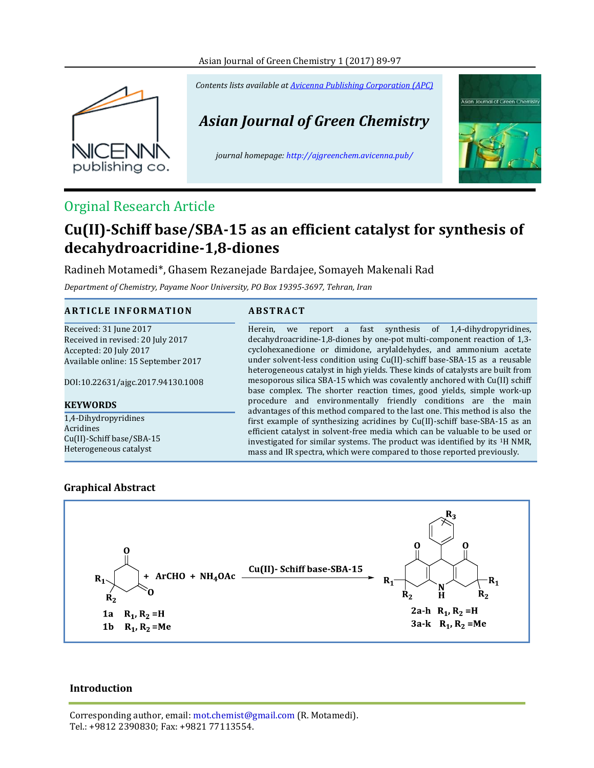## Asian Journal of Green Chemistry 1 (2017) 89-97



*Contents lists available a[t Avicenna Publishing Corporation \(APC\)](http://www.avicenna.pub/)*

# *Asian Journal of Green Chemistry*

*journal homepage: http://ajgreenchem.avicenna.pub/*



# Orginal Research Article

# **Cu(II)-Schiff base/SBA-15 as an efficient catalyst for synthesis of decahydroacridine-1,8-diones**

Radineh Motamedi\*, Ghasem Rezanejade Bardajee, Somayeh Makenali Rad

*Department of Chemistry, Payame Noor University, PO Box 19395‐3697, Tehran, Iran*

## **A R T I C L E I N F O R M A T I O N A B S T R A C T**

Received: 31 June 2017 Received in revised: 20 July 2017 Accepted: 20 July 2017 Available online: 15 September 2017

DOI:10.22631/ajgc.2017.94130.1008

## **KEYWORDS**

1,4-Dihydropyridines Acridines Cu(II)-Schiff base/SBA-15 Heterogeneous catalyst

Herein, we report a fast synthesis of 1,4-dihydropyridines, decahydroacridine-1,8-diones by one-pot multi-component reaction of 1,3 cyclohexanedione or dimidone, arylaldehydes, and ammonium acetate under solvent-less condition using Cu(II)-schiff base-SBA-15 as a reusable heterogeneous catalyst in high yields. These kinds of catalysts are built from mesoporous silica SBA-15 which was covalently anchored with Cu(II) schiff base complex. The shorter reaction times, good yields, simple work-up procedure and environmentally friendly conditions are the main advantages of this method compared to the last one. This method is also the first example of synthesizing acridines by Cu(II)-schiff base-SBA-15 as an efficient catalyst in solvent-free media which can be valuable to be used or investigated for similar systems. The product was identified by its 1H NMR, mass and IR spectra, which were compared to those reported previously.

# **Graphical Abstract**



# **Introduction**

Corresponding author, email: mot.chemist@gmail.com (R. Motamedi). Tel.: +9812 2390830; Fax: +9821 77113554.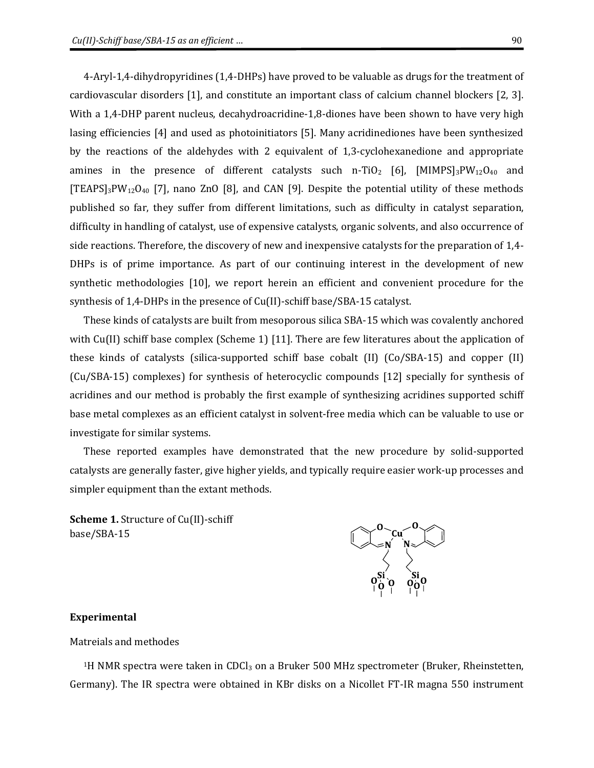4-Aryl-1,4-dihydropyridines (1,4-DHPs) have proved to be valuable as drugs for the treatment of cardiovascular disorders [1], and constitute an important class of calcium channel blockers [2, 3]. With a 1,4-DHP parent nucleus, decahydroacridine-1,8-diones have been shown to have very high lasing efficiencies [4] and used as photoinitiators [5]. Many acridinediones have been synthesized by the reactions of the aldehydes with 2 equivalent of 1,3-cyclohexanedione and appropriate amines in the presence of different catalysts such n-TiO<sub>2</sub> [6], [MIMPS]<sub>3</sub>PW<sub>12</sub>O<sub>40</sub> and [TEAPS]<sub>3</sub>PW<sub>12</sub>O<sub>40</sub> [7], nano ZnO [8], and CAN [9]. Despite the potential utility of these methods published so far, they suffer from different limitations, such as difficulty in catalyst separation, difficulty in handling of catalyst, use of expensive catalysts, organic solvents, and also occurrence of side reactions. Therefore, the discovery of new and inexpensive catalysts for the preparation of 1,4- DHPs is of prime importance. As part of our continuing interest in the development of new synthetic methodologies [10], we report herein an efficient and convenient procedure for the synthesis of 1,4-DHPs in the presence of Cu(II)-schiff base/SBA-15 catalyst.

These kinds of catalysts are built from mesoporous silica SBA-15 which was covalently anchored with Cu(II) schiff base complex (Scheme 1) [11]. There are few literatures about the application of these kinds of catalysts (silica-supported schiff base cobalt (II) (Co/SBA-15) and copper (II) (Cu/SBA-15) complexes) for synthesis of heterocyclic compounds [12] specially for synthesis of acridines and our method is probably the first example of synthesizing acridines supported schiff base metal complexes as an efficient catalyst in solvent-free media which can be valuable to use or investigate for similar systems.

These reported examples have demonstrated that the new procedure by solid-supported catalysts are generally faster, give higher yields, and typically require easier work-up processes and simpler equipment than the extant methods.

**Scheme 1.** Structure of Cu(II)-schiff base/SBA-15



#### **Experimental**

Matreials and methodes

<sup>1</sup>H NMR spectra were taken in CDCl<sub>3</sub> on a Bruker 500 MHz spectrometer (Bruker, Rheinstetten, Germany). The IR spectra were obtained in KBr disks on a Nicollet FT-IR magna 550 instrument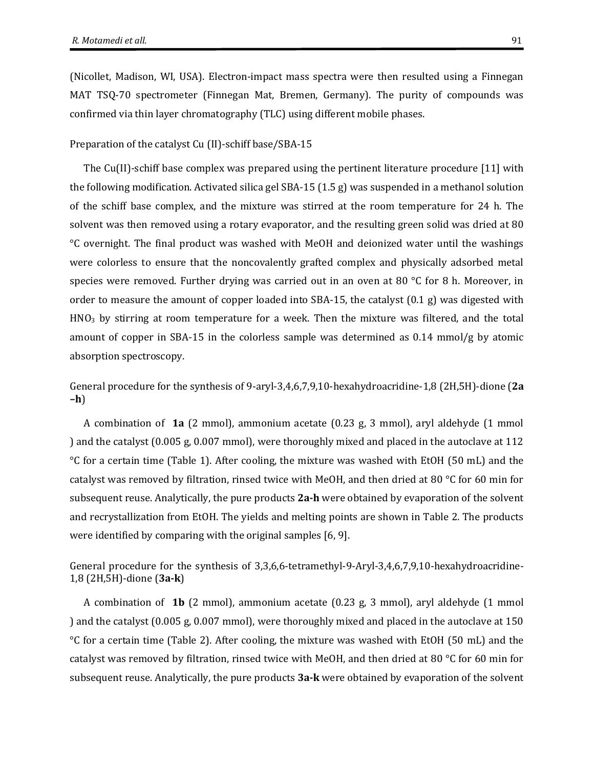(Nicollet, Madison, WI, USA). Electron-impact mass spectra were then resulted using a Finnegan MAT TSQ-70 spectrometer (Finnegan Mat, Bremen, Germany). The purity of compounds was confirmed via thin layer chromatography (TLC) using different mobile phases.

#### Preparation of the catalyst Cu (II)-schiff base/SBA-15

The Cu(II)-schiff base complex was prepared using the pertinent literature procedure [11] with the following modification. Activated silica gel SBA-15 (1.5 g) was suspended in a methanol solution of the schiff base complex, and the mixture was stirred at the room temperature for 24 h. The solvent was then removed using a rotary evaporator, and the resulting green solid was dried at 80 °C overnight. The final product was washed with MeOH and deionized water until the washings were colorless to ensure that the noncovalently grafted complex and physically adsorbed metal species were removed. Further drying was carried out in an oven at 80  $^{\circ}$ C for 8 h. Moreover, in order to measure the amount of copper loaded into SBA-15, the catalyst (0.1 g) was digested with  $HNO<sub>3</sub>$  by stirring at room temperature for a week. Then the mixture was filtered, and the total amount of copper in SBA-15 in the colorless sample was determined as  $0.14 \text{ mmol/g}$  by atomic absorption spectroscopy.

General procedure for the synthesis of 9-aryl-3,4,6,7,9,10-hexahydroacridine-1,8 (2H,5H)-dione (**2a –h**)

A combination of **1a** (2 mmol), ammonium acetate (0.23 g, 3 mmol), aryl aldehyde (1 mmol ) and the catalyst (0.005 g, 0.007 mmol), were thoroughly mixed and placed in the autoclave at 112 °C for a certain time (Table 1). After cooling, the mixture was washed with EtOH (50 mL) and the catalyst was removed by filtration, rinsed twice with MeOH, and then dried at 80 °C for 60 min for subsequent reuse. Analytically, the pure products **2a-h** were obtained by evaporation of the solvent and recrystallization from EtOH. The yields and melting points are shown in Table 2. The products were identified by comparing with the original samples [6, 9].

General procedure for the synthesis of 3,3,6,6-tetramethyl-9-Aryl-3,4,6,7,9,10-hexahydroacridine-1,8 (2H,5H)-dione (**3a-k**)

A combination of **1b** (2 mmol), ammonium acetate (0.23 g, 3 mmol), aryl aldehyde (1 mmol ) and the catalyst (0.005 g, 0.007 mmol), were thoroughly mixed and placed in the autoclave at 150 °C for a certain time (Table 2). After cooling, the mixture was washed with EtOH (50 mL) and the catalyst was removed by filtration, rinsed twice with MeOH, and then dried at 80 °C for 60 min for subsequent reuse. Analytically, the pure products **3a-k** were obtained by evaporation of the solvent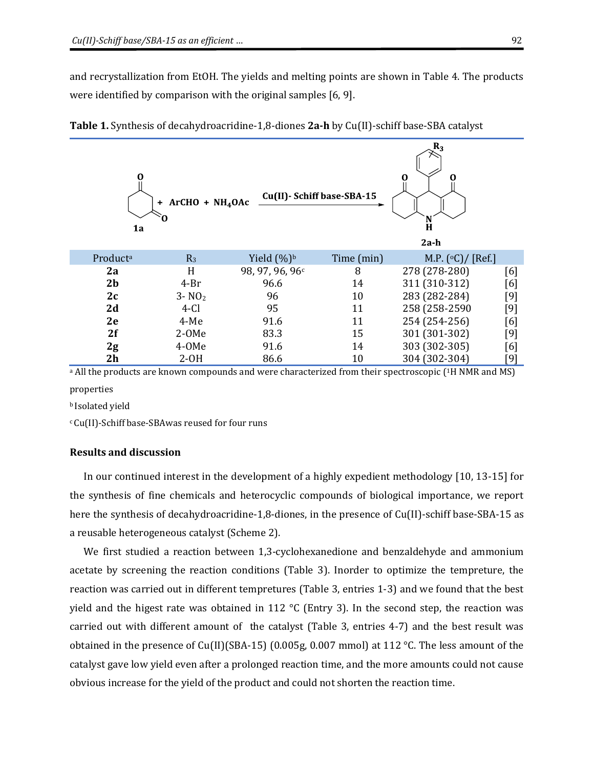and recrystallization from EtOH. The yields and melting points are shown in Table 4. The products were identified by comparison with the original samples [6, 9].

| 0<br>1a        | $ArCHO + NH4OAc$<br>÷<br>Ω | Cu(II)- Schiff base-SBA-15 |            | $\mathbf{n}_3$<br>0<br>O<br>N<br>H<br>$2a-h$ |       |
|----------------|----------------------------|----------------------------|------------|----------------------------------------------|-------|
| Producta       | $R_3$                      | Yield $(\%)$ <sup>b</sup>  | Time (min) | M.P. $({\circ}C)/$ [Ref.]                    |       |
| 2a             | H                          | 98, 97, 96, 96c            | 8          | 278 (278-280)                                | [6]   |
| 2 <sub>b</sub> | $4-Br$                     | 96.6                       | 14         | 311 (310-312)                                | [6]   |
| 2c             | $3 - NO2$                  | 96                         | 10         | 283 (282-284)                                | $[9]$ |
| 2d             | $4-Cl$                     | 95                         | 11         | 258 (258-2590                                | [9]   |
| 2e             | $4-Me$                     | 91.6                       | 11         | 254 (254-256)                                | [6]   |
| 2f             | $2-0Me$                    | 83.3                       | 15         | 301 (301-302)                                | $[9]$ |
| 2g             | 4-OMe                      | 91.6                       | 14         | 303 (302-305)                                | [6]   |
| 2 <sub>h</sub> | $2-OH$                     | 86.6                       | 10         | 304 (302-304)                                | [9]   |

**Table 1.** Synthesis of decahydroacridine-1,8-diones **2a-h** by Cu(II)-schiff base-SBA catalyst

a All the products are known compounds and were characterized from their spectroscopic (1H NMR and MS) properties

<sup>b</sup> Isolated yield

<sup>c</sup>Cu(II)-Schiff base-SBAwas reused for four runs

#### **Results and discussion**

In our continued interest in the development of a highly expedient methodology [10, 13-15] for the synthesis of fine chemicals and heterocyclic compounds of biological importance, we report here the synthesis of decahydroacridine-1,8-diones, in the presence of Cu(II)-schiff base-SBA-15 as a reusable heterogeneous catalyst (Scheme 2).

We first studied a reaction between 1,3-cyclohexanedione and benzaldehyde and ammonium acetate by screening the reaction conditions (Table 3). Inorder to optimize the tempreture, the reaction was carried out in different tempretures (Table 3, entries 1-3) and we found that the best yield and the higest rate was obtained in 112 °C (Entry 3). In the second step, the reaction was carried out with different amount of the catalyst (Table 3, entries 4-7) and the best result was obtained in the presence of Cu(II)(SBA-15) (0.005g, 0.007 mmol) at 112 °C. The less amount of the catalyst gave low yield even after a prolonged reaction time, and the more amounts could not cause obvious increase for the yield of the product and could not shorten the reaction time.

 $\overline{\mathbf{p}}$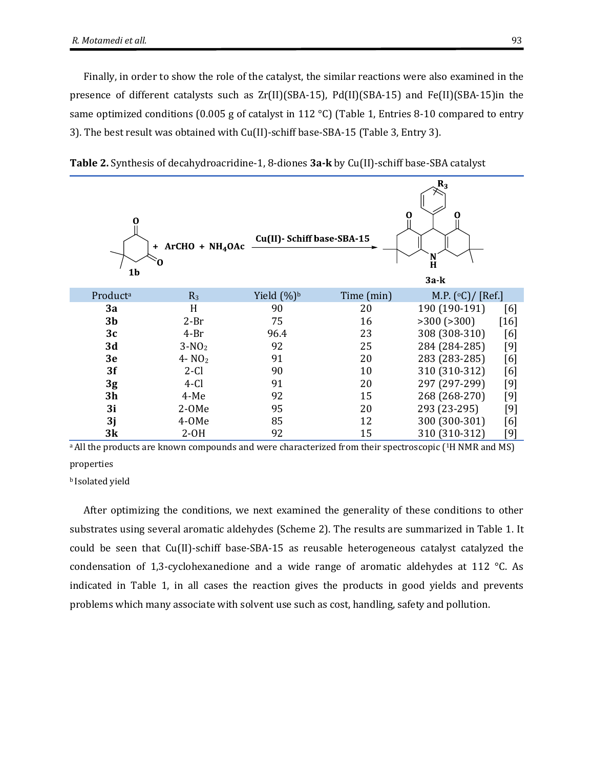Finally, in order to show the role of the catalyst, the similar reactions were also examined in the presence of different catalysts such as Zr(II)(SBA-15), Pd(II)(SBA-15) and Fe(II)(SBA-15)in the same optimized conditions (0.005 g of catalyst in 112 °C) (Table 1, Entries 8-10 compared to entry 3). The best result was obtained with Cu(II)-schiff base-SBA-15 (Table 3, Entry 3).



**Table 2.** Synthesis of decahydroacridine-1, 8-diones **3a-k** by Cu(II)-schiff base-SBA catalyst

<sup>a</sup> All the products are known compounds and were characterized from their spectroscopic (<sup>1</sup>H NMR and MS) properties

<sup>b</sup> Isolated yield

After optimizing the conditions, we next examined the generality of these conditions to other substrates using several aromatic aldehydes (Scheme 2). The results are summarized in Table 1. It could be seen that Cu(II)-schiff base-SBA-15 as reusable heterogeneous catalyst catalyzed the condensation of 1,3-cyclohexanedione and a wide range of aromatic aldehydes at 112 °C. As indicated in Table 1, in all cases the reaction gives the products in good yields and prevents problems which many associate with solvent use such as cost, handling, safety and pollution.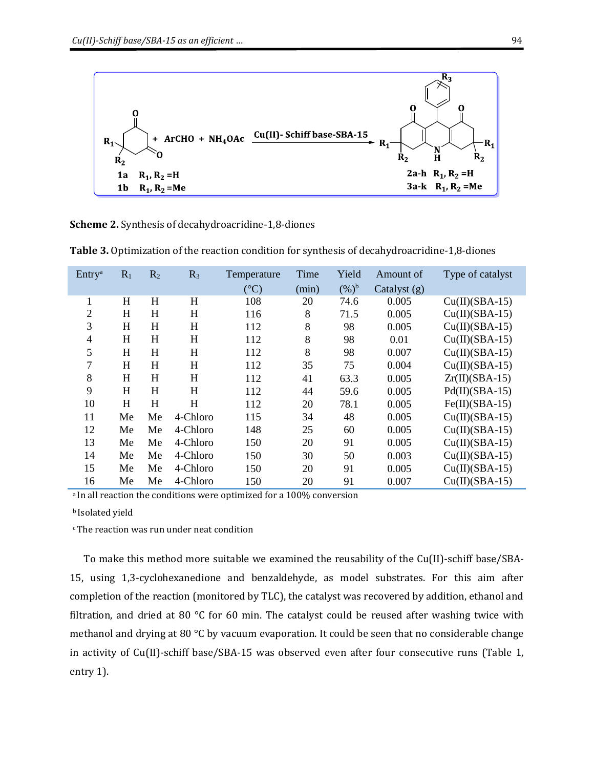

**Scheme 2.** Synthesis of decahydroacridine-1,8-diones

| Entry <sup>a</sup> | $R_1$     | R <sub>2</sub> | $R_3$    | Temperature     | Time  | Yield   | Amount of      | Type of catalyst |
|--------------------|-----------|----------------|----------|-----------------|-------|---------|----------------|------------------|
|                    |           |                |          | $({}^{\circ}C)$ | (min) | $(%)^b$ | Catalyst $(g)$ |                  |
| 1                  | $H_{\rm}$ | H              | H        | 108             | 20    | 74.6    | 0.005          | $Cu(II)(SBA-15)$ |
| $\overline{2}$     | H         | H              | H        | 116             | 8     | 71.5    | 0.005          | $Cu(II)(SBA-15)$ |
| 3                  | H         | H              | H        | 112             | 8     | 98      | 0.005          | $Cu(II)(SBA-15)$ |
| $\overline{4}$     | H         | H              | H        | 112             | 8     | 98      | 0.01           | $Cu(II)(SBA-15)$ |
| 5                  | H         | H              | H        | 112             | 8     | 98      | 0.007          | $Cu(II)(SBA-15)$ |
| 7                  | H         | $H_{\rm}$      | H        | 112             | 35    | 75      | 0.004          | $Cu(II)(SBA-15)$ |
| 8                  | H         | H              | H        | 112             | 41    | 63.3    | 0.005          | $Zr(II)(SBA-15)$ |
| 9                  | H         | H              | H        | 112             | 44    | 59.6    | 0.005          | $Pd(II)(SBA-15)$ |
| 10                 | H         | H              | H        | 112             | 20    | 78.1    | 0.005          | $Fe(II)(SBA-15)$ |
| 11                 | Me        | Me             | 4-Chloro | 115             | 34    | 48      | 0.005          | $Cu(II)(SBA-15)$ |
| 12                 | Me        | Me             | 4-Chloro | 148             | 25    | 60      | 0.005          | $Cu(II)(SBA-15)$ |
| 13                 | Me        | Me             | 4-Chloro | 150             | 20    | 91      | 0.005          | $Cu(II)(SBA-15)$ |
| 14                 | Me        | Me             | 4-Chloro | 150             | 30    | 50      | 0.003          | $Cu(II)(SBA-15)$ |
| 15                 | Me        | Me             | 4-Chloro | 150             | 20    | 91      | 0.005          | $Cu(II)(SBA-15)$ |
| 16                 | Me        | Me             | 4-Chloro | 150             | 20    | 91      | 0.007          | $Cu(II)(SBA-15)$ |

**Table 3.** Optimization of the reaction condition for synthesis of decahydroacridine-1,8-diones

a In all reaction the conditions were optimized for a 100% conversion

<sup>b</sup> Isolated yield

cThe reaction was run under neat condition

To make this method more suitable we examined the reusability of the Cu(II)-schiff base/SBA-15, using 1,3-cyclohexanedione and benzaldehyde, as model substrates. For this aim after completion of the reaction (monitored by TLC), the catalyst was recovered by addition, ethanol and filtration, and dried at 80  $^{\circ}$ C for 60 min. The catalyst could be reused after washing twice with methanol and drying at 80 °C by vacuum evaporation. It could be seen that no considerable change in activity of Cu(II)-schiff base/SBA-15 was observed even after four consecutive runs (Table 1, entry 1).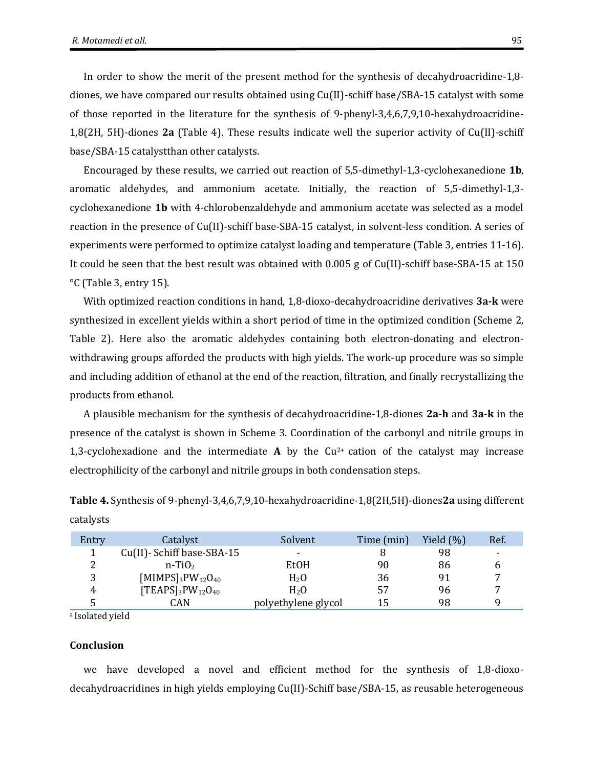In order to show the merit of the present method for the synthesis of decahydroacridine-1,8 diones, we have compared our results obtained using Cu(II)-schiff base/SBA-15 catalyst with some of those reported in the literature for the synthesis of 9-phenyl-3,4,6,7,9,10-hexahydroacridine-1,8(2H, 5H)-diones **2a** (Table 4). These results indicate well the superior activity of Cu(II)-schiff base/SBA-15 catalystthan other catalysts.

Encouraged by these results, we carried out reaction of 5,5-dimethyl-1,3-cyclohexanedione **1b**, aromatic aldehydes, and ammonium acetate. Initially, the reaction of 5,5-dimethyl-1,3 cyclohexanedione **1b** with 4-chlorobenzaldehyde and ammonium acetate was selected as a model reaction in the presence of Cu(II)-schiff base-SBA-15 catalyst, in solvent-less condition. A series of experiments were performed to optimize catalyst loading and temperature (Table 3, entries 11-16). It could be seen that the best result was obtained with 0.005 g of Cu(II)-schiff base-SBA-15 at 150 °C (Table 3, entry 15).

With optimized reaction conditions in hand, 1,8-dioxo-decahydroacridine derivatives **3a-k** were synthesized in excellent yields within a short period of time in the optimized condition (Scheme 2, Table 2). Here also the aromatic aldehydes containing both electron-donating and electronwithdrawing groups afforded the products with high yields. The work-up procedure was so simple and including addition of ethanol at the end of the reaction, filtration, and finally recrystallizing the products from ethanol.

A plausible mechanism for the synthesis of decahydroacridine-1,8-diones **2a-h** and **3a-k** in the presence of the catalyst is shown in Scheme 3. Coordination of the carbonyl and nitrile groups in 1,3-cyclohexadione and the intermediate **A** by the Cu2+ cation of the catalyst may increase electrophilicity of the carbonyl and nitrile groups in both condensation steps.

| Entry | Catalyst                                              | Solvent             | Time (min) | Yield $(\% )$ | Ref. |
|-------|-------------------------------------------------------|---------------------|------------|---------------|------|
|       | Cu(II)-Schiff base-SBA-15                             | -                   |            | 98            | ۰    |
| ົ     | $n-TiO2$                                              | EtOH                | 90         | 86            |      |
| 2     | [MIMPS] <sub>3</sub> PW <sub>12</sub> O <sub>40</sub> | H <sub>2</sub> O    | 36         | 91            | ⇁    |
|       | $[TEAPS]_3PW_{12}O_{40}$                              | H <sub>2</sub> O    | 57         | 96            | −    |
|       | CAN                                                   | polyethylene glycol | 15         | 98            |      |

**Table 4.** Synthesis of 9-phenyl-3,4,6,7,9,10-hexahydroacridine-1,8(2H,5H)-diones**2a** using different catalysts

a Isolated yield

#### **Conclusion**

we have developed a novel and efficient method for the synthesis of 1,8-dioxodecahydroacridines in high yields employing Cu(II)-Schiff base/SBA-15, as reusable heterogeneous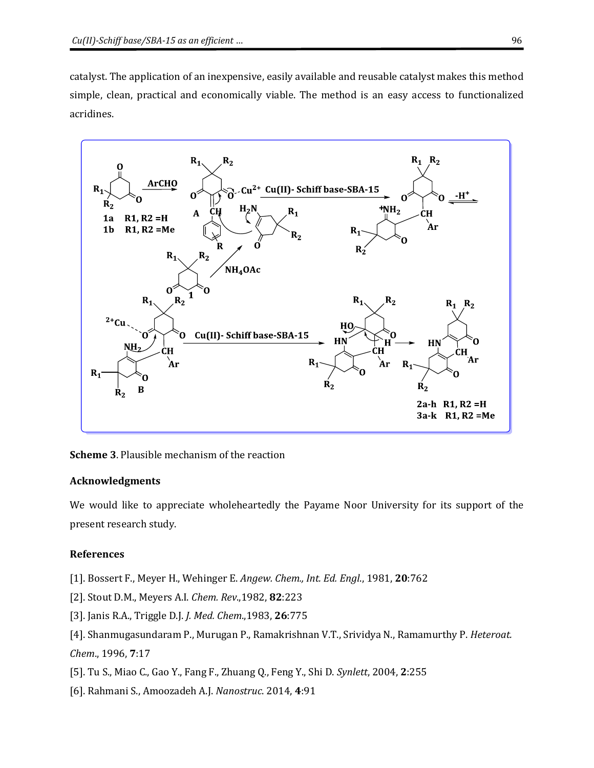catalyst. The application of an inexpensive, easily available and reusable catalyst makes this method simple, clean, practical and economically viable. The method is an easy access to functionalized acridines.



**Scheme 3**. Plausible mechanism of the reaction

# **Acknowledgments**

We would like to appreciate wholeheartedly the Payame Noor University for its support of the present research study.

# **References**

[1]. Bossert F., Meyer H., Wehinger E. *Angew. Chem., Int. Ed. Engl*., 1981, **20**:762

- [2]. Stout D.M., Meyers A.I. *Chem. Rev*.,1982, **82**:223
- [3]. Janis R.A., Triggle D.J. *J. Med. Chem*.,1983, **26**:775

[4]. Shanmugasundaram P., Murugan P., Ramakrishnan V.T., Srividya N., Ramamurthy P. *Heteroat. Chem*., 1996, **7**:17

- [5]. Tu S., Miao C., Gao Y., Fang F., Zhuang Q., Feng Y., Shi D. *Synlett*, 2004, **2**:255
- [6]. Rahmani S., Amoozadeh A.J. *Nanostruc*. 2014, **4**:91